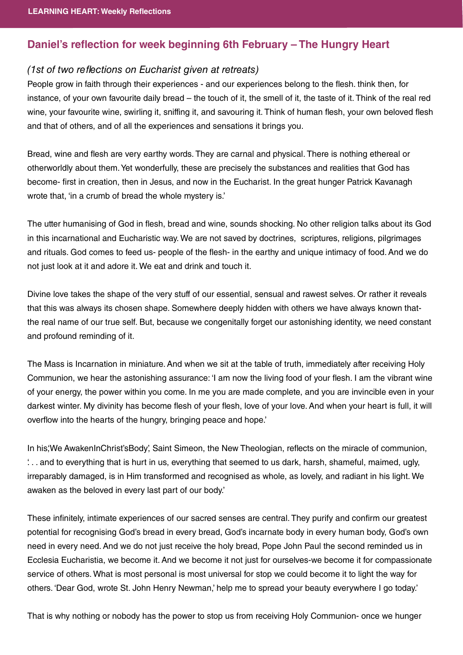## **Daniel's reflection for week beginning 6th February – The Hungry Heart**

## (1st of two reflections on Eucharist given at retreats)

People grow in faith through their experiences - and our experiences belong to the flesh, think then, for instance, of your own favourite daily bread – the touch of it, the smell of it, the taste of it. Think of the real red wine, your favourite wine, swirling it, sniffing it, and savouring it. Think of human flesh, your own beloved flesh and that of others, and of all the experiences and sensations it brings you.

Bread, wine and flesh are very earthy words. They are carnal and physical. There is nothing ethereal or otherworldly about them. Yet wonderfully, these are precisely the substances and realities that God has become- first in creation, then in Jesus, and now in the Eucharist. In the great hunger Patrick Kavanagh wrote that, 'in a crumb of bread the whole mystery is.'

The utter humanising of God in flesh, bread and wine, sounds shocking. No other religion talks about its God in this incarnational and Eucharistic way. We are not saved by doctrines, scriptures, religions, pilgrimages and rituals. God comes to feed us- people of the flesh- in the earthy and unique intimacy of food. And we do not just look at it and adore it. We eat and drink and touch it.

Divine love takes the shape of the very stuff of our essential, sensual and rawest selves. Or rather it reveals that this was always its chosen shape. Somewhere deeply hidden with others we have always known thatthe real name of our true self. But, because we congenitally forget our astonishing identity, we need constant and profound reminding of it.

The Mass is Incarnation in miniature. And when we sit at the table of truth, immediately after receiving Holy Communion, we hear the astonishing assurance: 'I am now the living food of your flesh. I am the vibrant wine of your energy, the power within you come. In me you are made complete, and you are invincible even in your darkest winter. My divinity has become flesh of your flesh, love of your love. And when your heart is full, it will overflow into the hearts of the hungry, bringing peace and hope.'

In his.'We AwakenInChrist'sBody', Saint Simeon, the New Theologian, reflects on the miracle of communion, '. . . and to everything that is hurt in us, everything that seemed to us dark, harsh, shameful, maimed, ugly, irreparably damaged, is in Him transformed and recognised as whole, as lovely, and radiant in his light. We awaken as the beloved in every last part of our body.'

These infinitely, intimate experiences of our sacred senses are central. They purify and confirm our greatest potential for recognising God's bread in every bread, God's incarnate body in every human body, God's own need in every need. And we do not just receive the holy bread, Pope John Paul the second reminded us in Ecclesia Eucharistia, we become it. And we become it not just for ourselves-we become it for compassionate service of others. What is most personal is most universal for stop we could become it to light the way for others. 'Dear God, wrote St. John Henry Newman,' help me to spread your beauty everywhere I go today.'

That is why nothing or nobody has the power to stop us from receiving Holy Communion- once we hunger